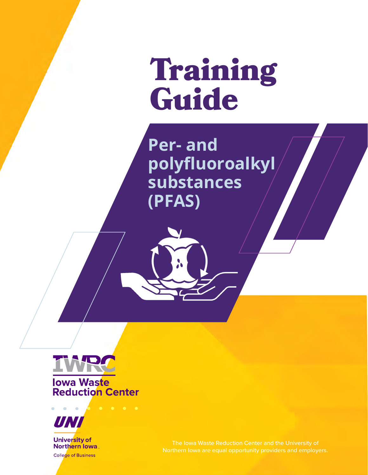Training Guide

**Per- and polyfluoroalkyl substances (PFAS)** 



**Iowa Waste Reduction Center** 



Northern lowa **College of Business**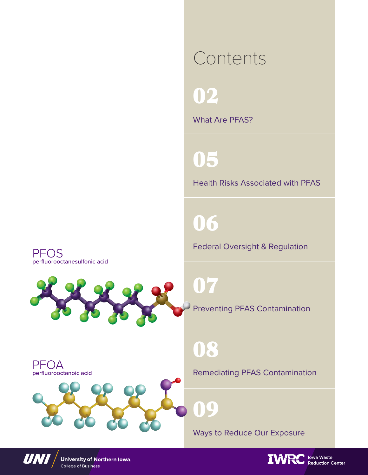### Contents

02

What Are PFAS?

05

Health Risks Associated with PFAS

06

Federal Oversight & Regulation

PFOS perfluorooctanesulfonic acid



### 08

09

PFOA perfluorooctanoic acid

Remediating PFAS Contamination

Ways to Reduce Our Exposure



University of Northern Iowa. College of Business

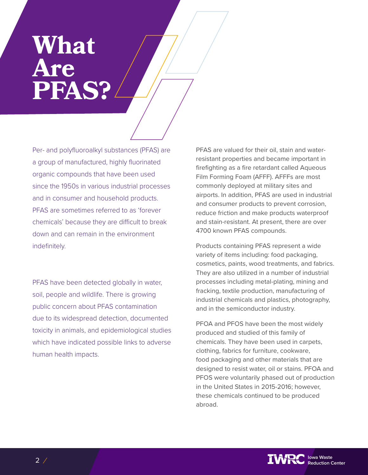### **What Are PFAS?**

Per- and polyfluoroalkyl substances (PFAS) are a group of manufactured, highly fluorinated organic compounds that have been used since the 1950s in various industrial processes and in consumer and household products. PFAS are sometimes referred to as 'forever chemicals' because they are difficult to break down and can remain in the environment indefinitely.

PFAS have been detected globally in water, soil, people and wildlife. There is growing public concern about PFAS contamination due to its widespread detection, documented toxicity in animals, and epidemiological studies which have indicated possible links to adverse human health impacts.

PFAS are valued for their oil, stain and waterresistant properties and became important in firefighting as a fire retardant called Aqueous Film Forming Foam (AFFF). AFFFs are most commonly deployed at military sites and airports. In addition, PFAS are used in industrial and consumer products to prevent corrosion, reduce friction and make products waterproof and stain-resistant. At present, there are over 4700 known PFAS compounds.

Products containing PFAS represent a wide variety of items including: food packaging, cosmetics, paints, wood treatments, and fabrics. They are also utilized in a number of industrial processes including metal-plating, mining and fracking, textile production, manufacturing of industrial chemicals and plastics, photography, and in the semiconductor industry.

PFOA and PFOS have been the most widely produced and studied of this family of chemicals. They have been used in carpets, clothing, fabrics for furniture, cookware, food packaging and other materials that are designed to resist water, oil or stains. PFOA and PFOS were voluntarily phased out of production in the United States in 2015-2016; however, these chemicals continued to be produced abroad.

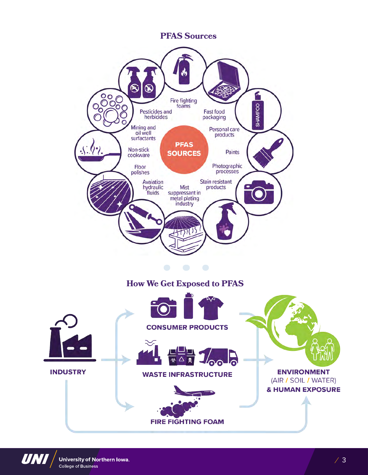**PFAS Sources** 





University of Northern Iowa. **College of Business**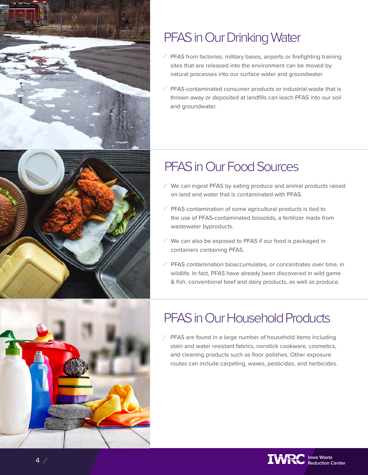

### PFAS in Our Drinking Water

- *⁄* PFAS from factories, military bases, airports or firefighting training sites that are released into the environment can be moved by natural processes into our surface water and groundwater.
- *⁄* PFAS-contaminated consumer products or industrial waste that is thrown away or deposited at landfills can leach PFAS into our soil and groundwater.

### PFAS in Our Food Sources

- *⁄* We can ingest PFAS by eating produce and animal products raised on land and water that is contaminated with PFAS.
- *⁄* PFAS contamination of some agricultural products is tied to the use of PFAS-contaminated biosolids, a fertilizer made from wastewater byproducts.
- *⁄* We can also be exposed to PFAS if our food is packaged in containers containing PFAS.
- *⁄* PFAS contamination bioaccumulates, or concentrates over time, in wildlife. In fact, PFAS have already been discovered in wild game & fish, conventional beef and dairy products, as well as produce.

### PFAS in Our Household Products

*⁄* PFAS are found in a large number of household items including stain and water resistant fabrics, nonstick cookware, cosmetics, and cleaning products such as floor polishes. Other exposure routes can include carpeting, waxes, pesticides, and herbicides.

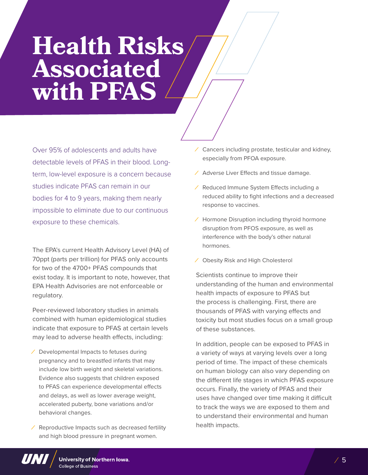## **Health Risks Associated with PFAS**

Over 95% of adolescents and adults have detectable levels of PFAS in their blood. Longterm, low-level exposure is a concern because studies indicate PFAS can remain in our bodies for 4 to 9 years, making them nearly impossible to eliminate due to our continuous exposure to these chemicals.

The EPA's current Health Advisory Level (HA) of 70ppt (parts per trillion) for PFAS only accounts for two of the 4700+ PFAS compounds that exist today. It is important to note, however, that EPA Health Advisories are not enforceable or regulatory.

Peer-reviewed laboratory studies in animals combined with human epidemiological studies indicate that exposure to PFAS at certain levels may lead to adverse health effects, including:

- *⁄* Developmental Impacts to fetuses during pregnancy and to breastfed infants that may include low birth weight and skeletal variations. Evidence also suggests that children exposed to PFAS can experience developmental effects and delays, as well as lower average weight, accelerated puberty, bone variations and/or behavioral changes.
- *⁄* Reproductive Impacts such as decreased fertility and high blood pressure in pregnant women.
- *⁄* Cancers including prostate, testicular and kidney, especially from PFOA exposure.
- *⁄* Adverse Liver Effects and tissue damage.
- *⁄* Reduced Immune System Effects including a reduced ability to fight infections and a decreased response to vaccines.
- *⁄* Hormone Disruption including thyroid hormone disruption from PFOS exposure, as well as interference with the body's other natural hormones.
- *⁄* Obesity Risk and High Cholesterol

Scientists continue to improve their understanding of the human and environmental health impacts of exposure to PFAS but the process is challenging. First, there are thousands of PFAS with varying effects and toxicity but most studies focus on a small group of these substances.

In addition, people can be exposed to PFAS in a variety of ways at varying levels over a long period of time. The impact of these chemicals on human biology can also vary depending on the different life stages in which PFAS exposure occurs. Finally, the variety of PFAS and their uses have changed over time making it difficult to track the ways we are exposed to them and to understand their environmental and human health impacts.

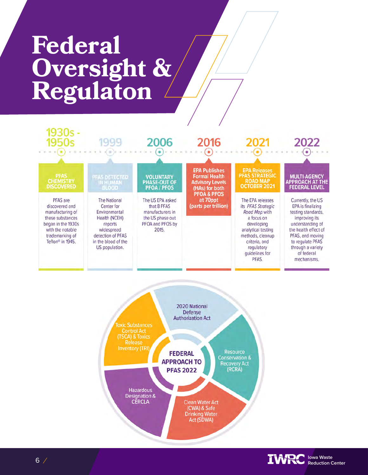# **Federal Oversight & Regulaton**





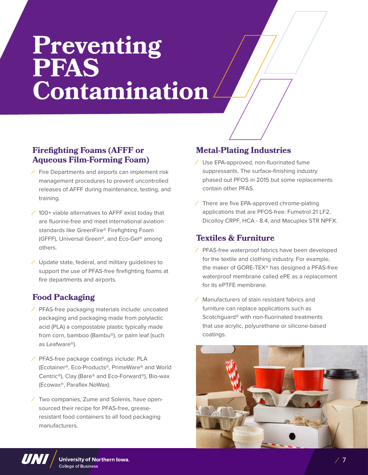# **Preventing PFAS Contamination**

#### **Firefighting Foams (AFFF or Aqueous Film-Forming Foam)**

- *⁄* Fire Departments and airports can implement risk management procedures to prevent uncontrolled releases of AFFF during maintenance, testing, and training.
- *⁄* 100+ viable alternatives to AFFF exist today that are fluorine-free and meet international aviation standards like GreenFire® Firefighting Foam (GFFF), Universal Green®, and Eco-Gel® among others.
- *⁄* Update state, federal, and military guidelines to support the use of PFAS-free firefighting foams at fire departments and airports.

#### **Food Packaging**

- *⁄* PFAS-free packaging materials include: uncoated packaging and packaging made from polylactic acid (PLA) a compostable plastic typically made from corn, bamboo (Bambu®), or palm leaf (such as Leafware®).
- *⁄* PFAS-free package coatings include: PLA (Ecotainer®, Eco-Products®, PrimeWare® and World Centric®), Clay (Bare® and Eco-Forward®), Bio-wax (Ecowax®, Paraflex NoWax).
- *⁄* Two companies, Zume and Solenis, have opensourced their recipe for PFAS-free, greaseresistant food containers to all food packaging manufacturers.

#### **Metal-Plating Industries**

- *⁄* Use EPA-approved, non-fluorinated fume suppressants. The surface-finishing industry phased out PFOS in 2015 but some replacements contain other PFAS.
- *⁄* There are five EPA-approved chrome-plating applications that are PFOS-free: Fumetrol 21 LF2, Dicolloy CRPF, HCA - 8.4, and Macuplex STR NPFX.

#### **Textiles & Furniture**

- *⁄* PFAS-free waterproof fabrics have been developed for the textile and clothing industry. For example, the maker of GORE-TEX® has designed a PFAS-free waterproof membrane called ePE as a replacement for its ePTFE membrane.
- *⁄* Manufacturers of stain resistant fabrics and furniture can replace applications such as Scotchguard® with non-fluorinated treatments that use acrylic, polyurethane or silicone-based coatings.



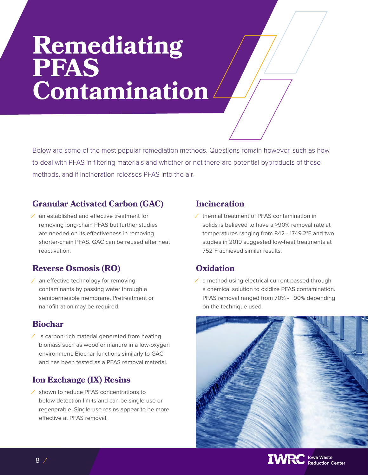# **Remediating PFAS Contamination**

Below are some of the most popular remediation methods. Questions remain however, such as how to deal with PFAS in filtering materials and whether or not there are potential byproducts of these methods, and if incineration releases PFAS into the air.

#### **Granular Activated Carbon (GAC)**

*⁄* an established and effective treatment for removing long-chain PFAS but further studies are needed on its effectiveness in removing shorter-chain PFAS. GAC can be reused after heat reactivation.

#### **Reverse Osmosis (RO)**

*⁄* an effective technology for removing contaminants by passing water through a semipermeable membrane. Pretreatment or nanofiltration may be required.

#### **Biochar**

*⁄* a carbon-rich material generated from heating biomass such as wood or manure in a low-oxygen environment. Biochar functions similarly to GAC and has been tested as a PFAS removal material.

#### **Ion Exchange (IX) Resins**

*⁄* shown to reduce PFAS concentrations to below detection limits and can be single-use or regenerable. Single-use resins appear to be more effective at PFAS removal.

#### **Incineration**

*⁄* thermal treatment of PFAS contamination in solids is believed to have a >90% removal rate at temperatures ranging from 842 - 1749.2°F and two studies in 2019 suggested low-heat treatments at 752°F achieved similar results.

#### **Oxidation**

*⁄* a method using electrical current passed through a chemical solution to oxidize PFAS contamination. PFAS removal ranged from 70% - +90% depending on the technique used.



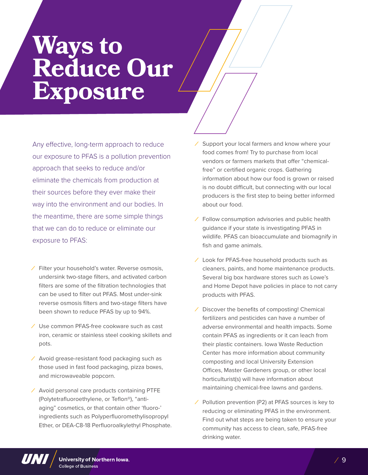## **Ways to Reduce Our Exposure**

Any effective, long-term approach to reduce our exposure to PFAS is a pollution prevention approach that seeks to reduce and/or eliminate the chemicals from production at their sources before they ever make their way into the environment and our bodies. In the meantime, there are some simple things that we can do to reduce or eliminate our exposure to PFAS:

- *⁄* Filter your household's water. Reverse osmosis, undersink two-stage filters, and activated carbon filters are some of the filtration technologies that can be used to filter out PFAS. Most under-sink reverse osmosis filters and two-stage filters have been shown to reduce PFAS by up to 94%.
- *⁄* Use common PFAS-free cookware such as cast iron, ceramic or stainless steel cooking skillets and pots.
- *⁄* Avoid grease-resistant food packaging such as those used in fast food packaging, pizza boxes, and microwaveable popcorn.
- *⁄* Avoid personal care products containing PTFE (Polytetrafluoroethylene, or Teflon®), "antiaging" cosmetics, or that contain other 'fluoro-' ingredients such as Polyperfluoromethylisopropyl Ether, or DEA-C8-18 Perfluoroalkylethyl Phosphate.
- *⁄* Support your local farmers and know where your food comes from! Try to purchase from local vendors or farmers markets that offer "chemicalfree" or certified organic crops. Gathering information about how our food is grown or raised is no doubt difficult, but connecting with our local producers is the first step to being better informed about our food.
- *⁄* Follow consumption advisories and public health guidance if your state is investigating PFAS in wildlife. PFAS can bioaccumulate and biomagnify in fish and game animals.
- *⁄* Look for PFAS-free household products such as cleaners, paints, and home maintenance products. Several big box hardware stores such as Lowe's and Home Depot have policies in place to not carry products with PFAS.
- *⁄* Discover the benefits of composting! Chemical fertilizers and pesticides can have a number of adverse environmental and health impacts. Some contain PFAS as ingredients or it can leach from their plastic containers. Iowa Waste Reduction Center has more information about community composting and local University Extension Offices, Master Gardeners group, or other local horticulturist(s) will have information about maintaining chemical-free lawns and gardens.
- *⁄* Pollution prevention (P2) at PFAS sources is key to reducing or eliminating PFAS in the environment. Find out what steps are being taken to ensure your community has access to clean, safe, PFAS-free drinking water.